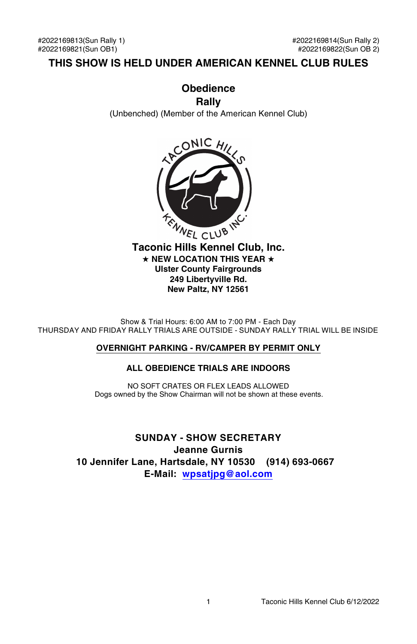### **THIS SHOW IS HELD UNDER AMERICAN KENNEL CLUB RULES**

### **Obedience Rally**

(Unbenched) (Member of the American Kennel Club)



 $\star$  NEW LOCATION THIS YEAR  $\star$ **Ulster County Fairgrounds 249 Libertyville Rd. New Paltz, NY 12561**

Show & Trial Hours: 6:00 AM to 7:00 PM - Each Day THURSDAY AND FRIDAY RALLY TRIALS ARE OUTSIDE - SUNDAY RALLY TRIAL WILL BE INSIDE

### **OVERNIGHT PARKING - RV/CAMPER BY PERMIT ONLY**

### **ALL OBEDIENCE TRIALS ARE INDOORS**

NO SOFT CRATES OR FLEX LEADS ALLOWED Dogs owned by the Show Chairman will not be shown at these events.

**SUNDAY - SHOW SECRETARY Jeanne Gurnis 10 Jennifer Lane, Hartsdale, NY 10530 (914) 693-0667 E-Mail: [wpsatjpg@aol.com](mailto:wpsatjpg@aol.com)**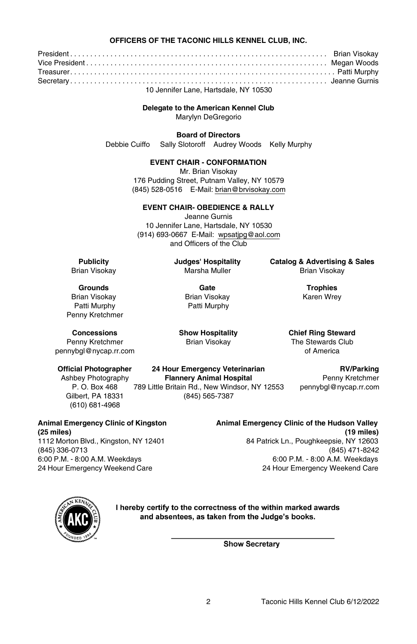#### **OFFICERS OF THE TACONIC HILLS KENNEL CLUB, INC.**

President . . . . . . . . . . . . . . . . . . . . . . . . . . . . . . . . . . . . . . . . . . . . . . . . . . . . . . . . . . . . . . . . Brian Visokay Vice President . . . . . . . . . . . . . . . . . . . . . . . . . . . . . . . . . . . . . . . . . . . . . . . . . . . . . . . . . . . . Megan Woods Treasurer. . . . . . . . . . . . . . . . . . . . . . . . . . . . . . . . . . . . . . . . . . . . . . . . . . . . . . . . . . . . . . . . . . Patti Murphy Secretary . . . . . . . . . . . . . . . . . . . . . . . . . . . . . . . . . . . . . . . . . . . . . . . . . . . . . . . . . . . . . . . . Jeanne Gurnis 10 Jennifer Lane, Hartsdale, NY 10530

**Delegate to the American Kennel Club**

Marylyn DeGregorio

**Board of Directors**

Debbie Cuiffo Sally Slotoroff Audrey Woods Kelly Murphy

**EVENT CHAIR - CONFORMATION**

Mr. Brian Visokay 176 Pudding Street, Putnam Valley, NY 10579 (845) 528-0516 E-Mail: brian@brvisokay.com

#### **EVENT CHAIR- OBEDIENCE & RALLY**

Jeanne Gurnis 10 Jennifer Lane, Hartsdale, NY 10530 (914) 693-0667 E-Mail: wpsatjpg@aol.com and Officers of the Club

**Publicity Judges' Hospitality Catalog & Advertising & Sales Marsha Muller Marsha Muller Brian Visokay** 

Brian Visokay Brian Visokay Karen Wrey Penny Kretchmer

**Grounds Gate Trophies** Patti Murphy

The Stewards Club<br>of America

**Concessions Show Hospitality Chief Ring Steward**<br> **Penny Kretchmer Brian Visokay The Stewards Club** 

pennybgl@nycap.rr.com

(610) 681-4968

**Official Photographer 24 Hour Emergency Veterinarian RV/Parking** Ashbey Photography **Flannery Animal Hospital** Penny Kretchmer

**Animal Emergency Clinic of Kingston Animal Emergency Clinic of the Hudson Valley**

P. O. Box 468 789 Little Britain Rd., New Windsor, NY 12553 pennybgl@nycap.rr.com (845) 565-7387

**(25 miles) (19 miles)** 1112 Morton Blvd., Kingston, NY 12401 84 Patrick Ln., Poughkeepsie, NY 12603 (845) 336-0713 (845) 471-8242 6:00 P.M. - 8:00 A.M. Weekdays 6:00 P.M. - 8:00 A.M. Weekdays 24 Hour Emergency Weekend Care 24 Hour Emergency Weekend Care



I hereby certify to the correctness of the within marked awards and absentees, as taken from the Judge's books.

**Show Secretary**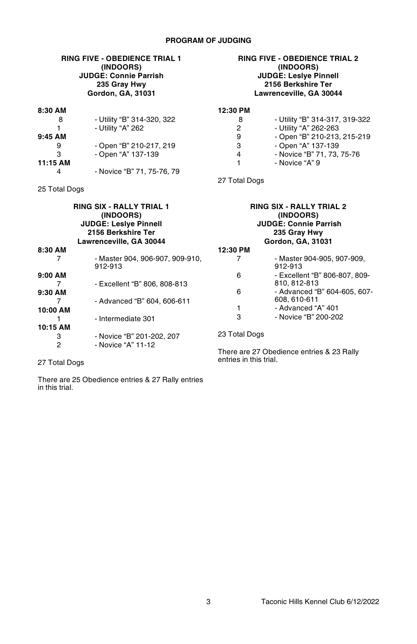### **PROGRAM OF JUDGING**

#### **RING FIVE - OBEDIENCE TRIAL 1 (INDOORS) JUDGE: Connie Parrish 235 Gray Hwy Gordon, GA, 31031**

#### **RING FIVE - OBEDIENCE TRIAL 2 (INDOORS) JUDGE: Leslye Pinnell 2156 Berkshire Ter Lawrenceville, GA 30044**

8 - Utility "B" 314-317, 319-322<br>2 - Utility "A" 262-263 2 - Utility "A" 262-263<br>9 - Open "B" 210-213, 9 - Open "B" 210-213, 215-219 3 - Open "A" 137-139 4 - Novice "B" 71, 73, 75-76

1 - Novice "A" 9

| 8:30 AM   |                            | 12:30 PM      |
|-----------|----------------------------|---------------|
| 8         | - Utility "B" 314-320, 322 | 8             |
|           | - Utility "A" 262          | 2             |
| $9:45$ AM |                            | 9             |
| 9         | - Open "B" 210-217, 219    | 3             |
| з         | - Open "A" 137-139         | 4             |
| 11:15 AM  |                            |               |
|           | - Novice "B" 71, 75-76, 79 |               |
|           |                            | 27 Total Dogs |

25 Total Dogs

|           | <b>RING SIX - RALLY TRIAL 1</b><br>(INDOORS)<br><b>JUDGE: Leslye Pinnell</b><br>2156 Berkshire Ter<br>Lawrenceville, GA 30044 |               | <b>RING SIX - RALLY TRIAL 2</b><br>(INDOORS)<br><b>JUDGE: Connie Parrish</b><br>235 Gray Hwy<br>Gordon, GA, 31031 |
|-----------|-------------------------------------------------------------------------------------------------------------------------------|---------------|-------------------------------------------------------------------------------------------------------------------|
| 8:30 AM   |                                                                                                                               | 12:30 PM      |                                                                                                                   |
|           | - Master 904, 906-907, 909-910,<br>912-913                                                                                    |               | - Master 904-905, 907-909,<br>912-913                                                                             |
| $9:00$ AM |                                                                                                                               | 6             | - Excellent "B" 806-807, 809-                                                                                     |
|           | - Excellent "B" 806, 808-813                                                                                                  |               | 810, 812-813                                                                                                      |
| 9:30 AM   |                                                                                                                               | 6             | - Advanced "B" 604-605, 607-                                                                                      |
|           | - Advanced "B" 604, 606-611                                                                                                   |               | 608, 610-611                                                                                                      |
| 10:00 AM  |                                                                                                                               |               | - Advanced "A" 401                                                                                                |
|           | - Intermediate 301                                                                                                            | 3             | - Novice "B" 200-202                                                                                              |
| 10:15 AM  |                                                                                                                               |               |                                                                                                                   |
| 3         | - Novice "B" 201-202, 207                                                                                                     | 23 Total Dogs |                                                                                                                   |
| 2         | - Novice "A" 11-12                                                                                                            |               | There are 27 Obedience entries & 23 Rally                                                                         |

entries in this trial.

27 Total Dogs

There are 25 Obedience entries & 27 Rally entries in this trial.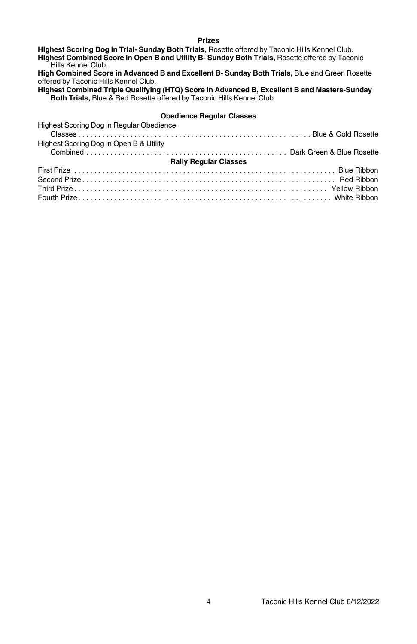#### **Prizes**

**Highest Scoring Dog in Trial- Sunday Both Trials,** Rosette offered by Taconic Hills Kennel Club. **Highest Combined Score in Open B and Utility B- Sunday Both Trials,** Rosette offered by Taconic Hills Kennel Club.

**High Combined Score in Advanced B and Excellent B- Sunday Both Trials,** Blue and Green Rosette offered by Taconic Hills Kennel Club.

**Highest Combined Triple Qualifying (HTQ) Score in Advanced B, Excellent B and Masters-Sunday Both Trials,** Blue & Red Rosette offered by Taconic Hills Kennel Club.

# **Obedience Regular Classes**

| $\sim$                                   |  |  |  |
|------------------------------------------|--|--|--|
| Highest Scoring Dog in Regular Obedience |  |  |  |
|                                          |  |  |  |
| Highest Scoring Dog in Open B & Utility  |  |  |  |
|                                          |  |  |  |
| <b>Rally Regular Classes</b>             |  |  |  |
|                                          |  |  |  |
|                                          |  |  |  |
|                                          |  |  |  |
|                                          |  |  |  |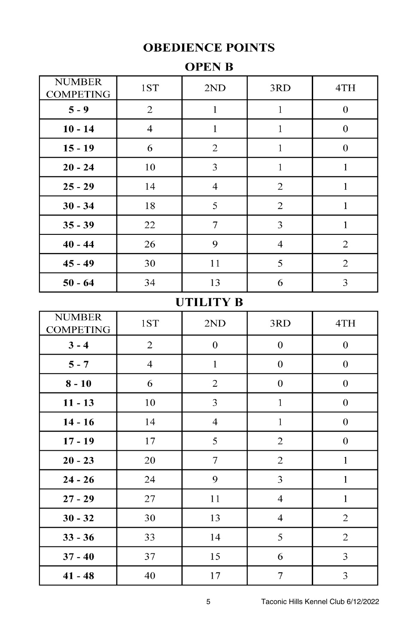# **OBEDIENCE POINTS**

| ת הי<br>. .<br>◟◣<br>n |  |
|------------------------|--|
|------------------------|--|

| <b>NUMBER</b><br><b>COMPETING</b> | 1ST            | 2ND              | 3RD              | 4TH              |
|-----------------------------------|----------------|------------------|------------------|------------------|
| $5 - 9$                           | $\overline{c}$ | $\,1$            | $\,1$            | $\boldsymbol{0}$ |
| $10 - 14$                         | $\overline{4}$ | $\mathbf{1}$     | $\mathbf{1}$     | $\boldsymbol{0}$ |
| $15 - 19$                         | 6              | $\sqrt{2}$       | $\mathbf{1}$     | $\boldsymbol{0}$ |
| $20 - 24$                         | 10             | 3                | $\mathbf{1}$     | $\mathbf{1}$     |
| $25 - 29$                         | 14             | $\overline{4}$   | $\overline{c}$   | $\mathbf{1}$     |
| $30 - 34$                         | 18             | 5                | $\sqrt{2}$       | $\mathbf{1}$     |
| $35 - 39$                         | 22             | $\tau$           | 3                | $\mathbf 1$      |
| $40 - 44$                         | 26             | 9                | $\overline{4}$   | $\overline{c}$   |
| $45 - 49$                         | 30             | 11               | 5                | $\overline{c}$   |
| $50 - 64$                         | 34             | 13               | 6                | 3                |
|                                   |                | <b>UTILITY B</b> |                  |                  |
| <b>NUMBER</b><br><b>COMPETING</b> | $1S T$         | 2ND              | 3RD              | 4TH              |
| $3 - 4$                           | $\mathbf{2}$   | $\boldsymbol{0}$ | $\boldsymbol{0}$ | $\boldsymbol{0}$ |
| $5 - 7$                           | $\overline{4}$ | $\mathbf{1}$     | $\boldsymbol{0}$ | $\boldsymbol{0}$ |
| $8 - 10$                          | 6              | $\sqrt{2}$       | $\boldsymbol{0}$ | $\boldsymbol{0}$ |
| $11 - 13$                         | 10             | 3                | $\mathbf{1}$     | $\boldsymbol{0}$ |
| $14 - 16$                         | 14             | $\overline{4}$   | $\mathbf{1}$     | $\boldsymbol{0}$ |
| $17 - 19$                         | 17             | 5                | $\sqrt{2}$       | $\boldsymbol{0}$ |
| $20 - 23$                         | 20             | $\boldsymbol{7}$ | $\overline{c}$   | $\,1$            |
| $24 - 26$                         | 24             | 9                | $\mathfrak{Z}$   | $\,1$            |
| $27 - 29$                         | 27             | 11               | $\overline{4}$   | $\,1$            |
| $30 - 32$                         | 30             | 13               | $\overline{4}$   | $\mathbf{2}$     |
| $33 - 36$                         | 33             | 14               | 5                | $\mathbf{2}$     |
| $37 - 40$                         | 37             | 15               | 6                | 3                |
| $41 - 48$                         | 40             | 17               | $\boldsymbol{7}$ | 3                |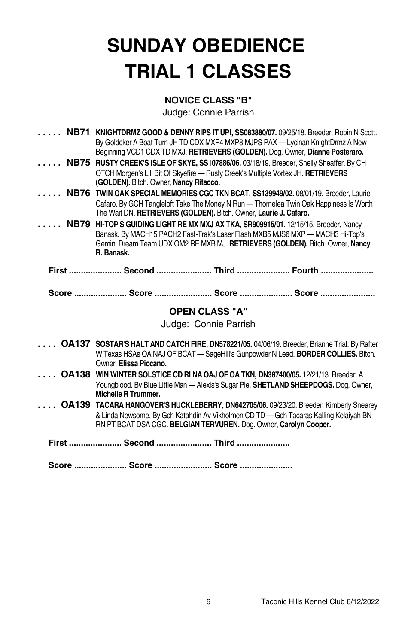# **SUNDAY OBEDIENCE TRIAL 1 CLASSES**

### **NOVICE CLASS "B"**

|              | NB71 KNIGHTDRMZ GOOD & DENNY RIPS IT UP!, SS083880/07. 09/25/18. Breeder, Robin N Scott.            |
|--------------|-----------------------------------------------------------------------------------------------------|
|              | By Goldcker A Boat Turn JH TD CDX MXP4 MXP8 MJPS PAX - Lycinan KnightDrmz A New                     |
|              | Beginning VCD1 CDX TD MXJ. RETRIEVERS (GOLDEN). Dog. Owner, Dianne Posteraro.                       |
| $\mathbf{r}$ | NB75 RUSTY CREEK'S ISLE OF SKYE, SS107886/06. 03/18/19. Breeder, Shelly Sheaffer. By CH             |
|              | OTCH Morgen's Lil' Bit Of Skyefire - Rusty Creek's Multiple Vortex JH. RETRIEVERS                   |
|              | (GOLDEN). Bitch. Owner, Nancy Ritacco.                                                              |
| 1.111        | NB76 TWIN OAK SPECIAL MEMORIES CGC TKN BCAT, SS139949/02. 08/01/19. Breeder, Laurie                 |
|              | Cafaro. By GCH Tangleloft Take The Money N Run - Thornelea Twin Oak Happiness Is Worth              |
|              | The Wait DN. RETRIEVERS (GOLDEN). Bitch. Owner, Laurie J. Cafaro.                                   |
|              | NB79 HI-TOP'S GUIDING LIGHT RE MX MXJ AX TKA, SR909915/01. 12/15/15. Breeder, Nancy                 |
|              | Banask. By MACH15 PACH2 Fast-Trak's Laser Flash MXB5 MJS6 MXP - MACH3 Hi-Top's                      |
|              | Gemini Dream Team UDX OM2 RE MXB MJ. RETRIEVERS (GOLDEN). Bitch. Owner, Nancy                       |
|              | R. Banask.                                                                                          |
|              |                                                                                                     |
|              | First  Second  Third  Fourth                                                                        |
|              |                                                                                                     |
|              | Score  Score  Score  Score                                                                          |
|              |                                                                                                     |
|              | <b>OPEN CLASS "A"</b>                                                                               |
|              | Judge: Connie Parrish                                                                               |
|              |                                                                                                     |
|              | <b>OA137 SOSTAR'S HALT AND CATCH FIRE, DN578221/05. 04/06/19. Breeder, Brianne Trial. By Rafter</b> |
|              | W Texas HSAs OA NAJ OF BCAT - SageHill's Gunpowder N Lead. BORDER COLLIES. Bitch.                   |
|              | Owner. Elissa Piccano.                                                                              |
|              | OA138 WIN WINTER SOLSTICE CD RI NA OAJ OF OA TKN, DN387400/05. 12/21/13. Breeder, A                 |
|              | Youngblood. By Blue Little Man - Alexis's Sugar Pie. SHETLAND SHEEPDOGS. Dog. Owner,                |
|              | <b>Michelle R Trummer.</b>                                                                          |
|              | OA139 TACARA HANGOVER'S HUCKLEBERRY, DN642705/06. 09/23/20. Breeder, Kimberly Snearey               |
|              | & Linda Newsome. By Gch Katahdin Ay Vikholmen CD TD - Gch Tacaras Kalling Kelaiyah BN               |
|              | RN PT BCAT DSA CGC. BELGIAN TERVUREN. Dog. Owner, Carolyn Cooper.                                   |
|              |                                                                                                     |
|              | First  Second  Third                                                                                |
|              | Score  Score  Score                                                                                 |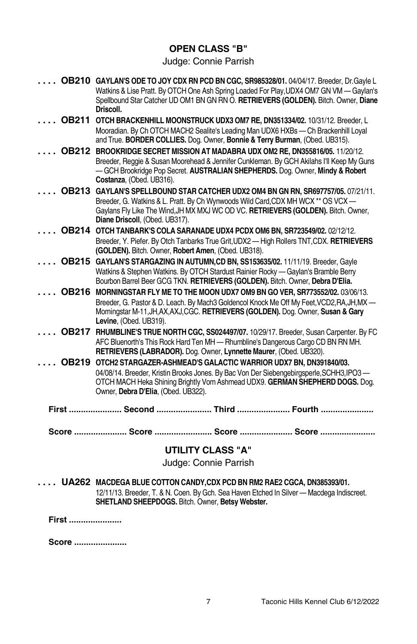### **OPEN CLASS "B"**

## Judge: Connie Parrish

|       | OB210 GAYLAN'S ODE TO JOY CDX RN PCD BN CGC, SR985328/01. 04/04/17. Breeder, Dr. Gayle L.<br>Watkins & Lise Pratt. By OTCH One Ash Spring Loaded For Play, UDX4 OM7 GN VM - Gaylan's                                     |
|-------|--------------------------------------------------------------------------------------------------------------------------------------------------------------------------------------------------------------------------|
|       | Spellbound Star Catcher UD OM1 BN GN RN O. RETRIEVERS (GOLDEN). Bitch. Owner, Diane<br>Driscoll.                                                                                                                         |
|       | OB211 OTCH BRACKENHILL MOONSTRUCK UDX3 OM7 RE, DN351334/02. 10/31/12. Breeder, L                                                                                                                                         |
|       | Mooradian. By Ch OTCH MACH2 Sealite's Leading Man UDX6 HXBs - Ch Brackenhill Loyal<br>and True. BORDER COLLIES. Dog. Owner, Bonnie & Terry Burman, (Obed. UB315).                                                        |
|       | OB212 BROOKRIDGE SECRET MISSION AT MADABRA UDX OM2 RE. DN355816/05. 11/20/12.                                                                                                                                            |
|       | Breeder, Reggie & Susan Moorehead & Jennifer Cunkleman. By GCH Akilahs I'll Keep My Guns<br>-GCH Brookridge Pop Secret. AUSTRALIAN SHEPHERDS. Dog. Owner, Mindy & Robert<br>Costanza, (Obed. UB316).                     |
|       | OB213 GAYLAN'S SPELLBOUND STAR CATCHER UDX2 OM4 BN GN RN, SR697757/05. 07/21/11.                                                                                                                                         |
|       | Breeder, G. Watkins & L. Pratt. By Ch Wynwoods Wild Card, CDX MH WCX ** OS VCX -                                                                                                                                         |
|       | Gaylans Fly Like The Wind, JH MX MXJ WC OD VC. RETRIEVERS (GOLDEN). Bitch. Owner,<br>Diane Driscoll, (Obed. UB317).                                                                                                      |
|       | OB214 OTCH TANBARK'S COLA SARANADE UDX4 PCDX OM6 BN, SR723549/02. 02/12/12.                                                                                                                                              |
|       | Breeder, Y. Piefer. By Otch Tanbarks True Grit, UDX2 - High Rollers TNT, CDX. RETRIEVERS<br>(GOLDEN). Bitch. Owner, Robert Amen, (Obed. UB318).                                                                          |
|       | OB215 GAYLAN'S STARGAZING IN AUTUMN, CD BN, SS153635/02. 11/11/19. Breeder, Gayle                                                                                                                                        |
|       | Watkins & Stephen Watkins. By OTCH Stardust Rainier Rocky - Gaylan's Bramble Berry<br>Bourbon Barrel Beer GCG TKN. RETRIEVERS (GOLDEN). Bitch. Owner, Debra D'Elia.                                                      |
|       | OB216 MORNINGSTAR FLY ME TO THE MOON UDX7 OM9 BN GO VER, SR773552/02. 03/06/13.                                                                                                                                          |
|       | Breeder, G. Pastor & D. Leach. By Mach3 Goldencol Knock Me Off My Feet, VCD2, RA, JH, MX -<br>Morningstar M-11, JH, AX, AXJ, CGC. RETRIEVERS (GOLDEN). Dog. Owner, Susan & Gary<br>Levine, (Obed. UB319).                |
|       | OB217 RHUMBLINE'S TRUE NORTH CGC, SS024497/07. 10/29/17. Breeder, Susan Carpenter. By FC                                                                                                                                 |
|       | AFC Bluenorth's This Rock Hard Ten MH - Rhumbline's Dangerous Cargo CD BN RN MH.<br>RETRIEVERS (LABRADOR). Dog. Owner, Lynnette Maurer, (Obed. UB320).                                                                   |
|       | OB219 OTCH2 STARGAZER-ASHMEAD'S GALACTIC WARRIOR UDX7 BN, DN391840/03.                                                                                                                                                   |
|       | 04/08/14. Breeder, Kristin Brooks Jones. By Bac Von Der Siebengebirgsperle, SCHH3, IPO3-<br>OTCH MACH Heka Shining Brightly Vom Ashmead UDX9. GERMAN SHEPHERD DOGS. Dog.<br>Owner, Debra D'Elia, (Obed. UB322).          |
|       | First  Second  Third  Fourth                                                                                                                                                                                             |
|       | Score  Score  Score  Score                                                                                                                                                                                               |
|       | <b>UTILITY CLASS "A"</b>                                                                                                                                                                                                 |
|       | Judge: Connie Parrish                                                                                                                                                                                                    |
|       | UA262 MACDEGA BLUE COTTON CANDY, CDX PCD BN RM2 RAE2 CGCA, DN385393/01.<br>12/11/13. Breeder, T. & N. Coen. By Gch. Sea Haven Etched In Silver - Macdega Indiscreet.<br>SHETLAND SHEEPDOGS. Bitch. Owner, Betsy Webster. |
| First |                                                                                                                                                                                                                          |
|       |                                                                                                                                                                                                                          |

**Score ......................**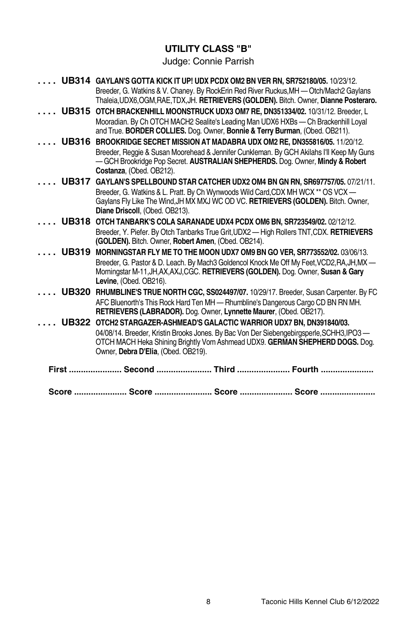## **UTILITY CLASS "B"**

|              | UB314 GAYLAN'S GOTTA KICK IT UP! UDX PCDX OM2 BN VER RN, SR752180/05. 10/23/12.                                                                                                  |
|--------------|----------------------------------------------------------------------------------------------------------------------------------------------------------------------------------|
|              | Breeder, G. Watkins & V. Chaney. By RockErin Red River Ruckus, MH - Otch/Mach2 Gaylans<br>Thaleia, UDX6, OGM, RAE, TDX, JH. RETRIEVERS (GOLDEN). Bitch. Owner, Dianne Posteraro. |
|              | UB315 OTCH BRACKENHILL MOONSTRUCK UDX3 OM7 RE, DN351334/02. 10/31/12. Breeder, L                                                                                                 |
|              | Mooradian. By Ch OTCH MACH2 Sealite's Leading Man UDX6 HXBs — Ch Brackenhill Loval<br>and True. BORDER COLLIES. Dog. Owner, Bonnie & Terry Burman, (Obed. OB211).                |
| <b>UB316</b> | BROOKRIDGE SECRET MISSION AT MADABRA UDX OM2 RE. DN355816/05. 11/20/12.                                                                                                          |
|              | Breeder, Reggie & Susan Moorehead & Jennifer Cunkleman. By GCH Akilahs I'll Keep My Guns                                                                                         |
|              | -GCH Brookridge Pop Secret. AUSTRALIAN SHEPHERDS. Dog. Owner, Mindy & Robert<br>Costanza, (Obed. OB212).                                                                         |
| <b>UB317</b> | GAYLAN'S SPELLBOUND STAR CATCHER UDX2 OM4 BN GN RN, SR697757/05. 07/21/11.                                                                                                       |
|              | Breeder, G. Watkins & L. Pratt. By Ch Wynwoods Wild Card, CDX MH WCX ** OS VCX -                                                                                                 |
|              | Gaylans Fly Like The Wind, JH MX MXJ WC OD VC. RETRIEVERS (GOLDEN). Bitch. Owner,                                                                                                |
|              | Diane Driscoll, (Obed. OB213).                                                                                                                                                   |
|              | UB318 OTCH TANBARK'S COLA SARANADE UDX4 PCDX OM6 BN, SR723549/02. 02/12/12.                                                                                                      |
|              | Breeder, Y. Piefer. By Otch Tanbarks True Grit, UDX2 - High Rollers TNT, CDX. RETRIEVERS<br>(GOLDEN). Bitch. Owner, Robert Amen, (Obed. OB214).                                  |
| <b>UB319</b> | MORNINGSTAR FLY ME TO THE MOON UDX7 OM9 BN GO VER, SR773552/02. 03/06/13.                                                                                                        |
|              | Breeder, G. Pastor & D. Leach. By Mach3 Goldencol Knock Me Off My Feet, VCD2, RA, JH, MX-                                                                                        |
|              | Morningstar M-11, JH, AX, AXJ, CGC. RETRIEVERS (GOLDEN). Dog. Owner, Susan & Gary                                                                                                |
|              | Levine, (Obed. OB216).                                                                                                                                                           |
| <b>UB320</b> | <b>RHUMBLINE'S TRUE NORTH CGC, SS024497/07. 10/29/17. Breeder, Susan Carpenter. By FC</b>                                                                                        |
|              | AFC Bluenorth's This Rock Hard Ten MH - Rhumbline's Dangerous Cargo CD BN RN MH.<br>RETRIEVERS (LABRADOR). Dog. Owner, Lynnette Maurer, (Obed. OB217).                           |
| <b>UB322</b> | OTCH2 STARGAZER-ASHMEAD'S GALACTIC WARRIOR UDX7 BN, DN391840/03.                                                                                                                 |
|              | 04/08/14. Breeder, Kristin Brooks Jones. By Bac Von Der Siebengebirgsperle, SCHH3, IPO3 -                                                                                        |
|              | OTCH MACH Heka Shining Brightly Vom Ashmead UDX9. GERMAN SHEPHERD DOGS. Dog.                                                                                                     |
|              | Owner, Debra D'Elia, (Obed. OB219).                                                                                                                                              |
|              | First  Second  Third  Fourth                                                                                                                                                     |
|              | Score  Score  Score  Score                                                                                                                                                       |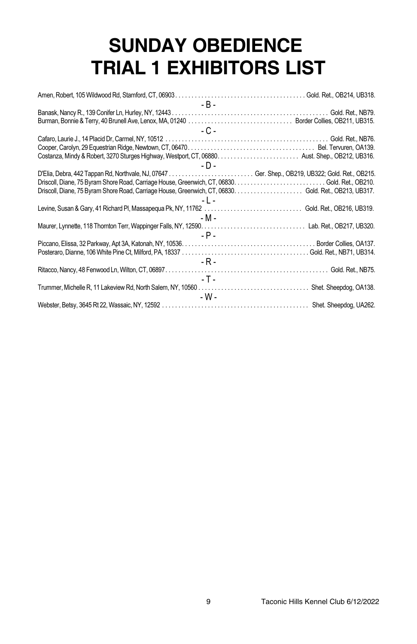# **SUNDAY OBEDIENCE TRIAL 1 EXHIBITORS LIST**

| - B -                                                                                            |
|--------------------------------------------------------------------------------------------------|
|                                                                                                  |
|                                                                                                  |
| $-C =$                                                                                           |
|                                                                                                  |
|                                                                                                  |
|                                                                                                  |
| - D -                                                                                            |
| D'Elia, Debra, 442 Tappan Rd, Northvale, NJ, 07647  Ger. Shep., OB219, UB322; Gold. Ret., OB215. |
|                                                                                                  |
|                                                                                                  |
| $-1$ $-$                                                                                         |
|                                                                                                  |
| - M -                                                                                            |
|                                                                                                  |
| $- P -$                                                                                          |
|                                                                                                  |
|                                                                                                  |
| - R -                                                                                            |
|                                                                                                  |
| $-T -$                                                                                           |
|                                                                                                  |
| - W -                                                                                            |
|                                                                                                  |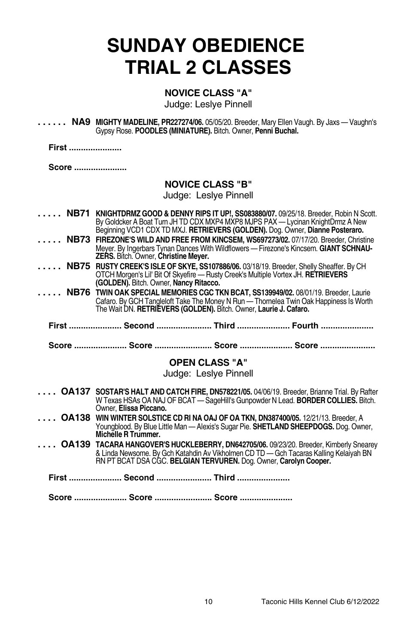# **SUNDAY OBEDIENCE TRIAL 2 CLASSES**

### **NOVICE CLASS "A"**

Judge: Leslye Pinnell

**. . . . . . NA9 MIGHTY MADELINE, PR227274/06.** 05/05/20. Breeder, Mary Ellen Vaugh. By Jaxs — Vaughn's Gypsy Rose. **POODLES (MINIATURE).** Bitch. Owner, **Penni Buchal.**

**First ......................**

**Score ......................**

### **NOVICE CLASS "B"**

Judge: Leslye Pinnell

- **. . . . . NB71 KNIGHTDRMZ GOOD & DENNY RIPS IT UP!, SS083880/07.** 09/25/18. Breeder, Robin N Scott. By Goldcker A Boat Turn JH TD CDX MXP4 MXP8 MJPS PAX — Lycinan KnightDrmz A New Beginning VCD1 CDX TDMXJ. **RETRIEVERS (GOLDEN).** Dog. Owner, **Dianne Posteraro.**
- **. . . . . NB73 FIREZONE'S WILD AND FREE FROM KINCSEM, WS697273/02.** 07/17/20. Breeder, Christine Meyer. By Ingerbars Tynan Dances With Wildflowers — Firezone's Kincsem. **GIANT SCHNAU-ZERS.** Bitch. Owner, **Christine Meyer.**
- **. . . . . NB75 RUSTY CREEK'S ISLE OF SKYE, SS107886/06.** 03/18/19. Breeder, Shelly Sheaffer. By CH OTCH Morgen's Lil' Bit Of Skyefire — Rusty Creek's Multiple Vortex JH. **RETRIEVERS (GOLDEN).** Bitch. Owner, **Nancy Ritacco.**
- **. . . . . NB76 TWIN OAK SPECIALMEMORIES CGC TKN BCAT, SS139949/02.** 08/01/19. Breeder, Laurie Cafaro. By GCH Tangleloft Take The Money N Run — Thornelea Twin Oak Happiness Is Worth The Wait DN. **RETRIEVERS (GOLDEN).** Bitch. Owner, **Laurie J. Cafaro.**
	- **First ...................... Second ....................... Third ...................... Fourth ......................**
	- **Score ...................... Score ........................ Score ...................... Score .......................**

### **OPEN CLASS "A"**

### Judge: Leslye Pinnell

- **. . . . OA137 SOSTAR'S HALT AND CATCH FIRE, DN578221/05.** 04/06/19. Breeder, Brianne Trial. By Rafter W Texas HSAs OA NAJ OF BCAT — SageHill's Gunpowder N Lead. **BORDER COLLIES.** Bitch. Owner, **Elissa Piccano.**
- **. . . . OA138 WIN WINTER SOLSTICE CD RI NA OAJ OF OA TKN, DN387400/05.** 12/21/13. Breeder, A Youngblood. By Blue Little Man — Alexis's Sugar Pie. **SHETLAND SHEEPDOGS.** Dog. Owner,<br>**Michelle R Trummer.**
- **. . . . OA139 TACARA HANGOVER'S HUCKLEBERRY, DN642705/06.** 09/23/20. Breeder, Kimberly Snearey & Linda Newsome. By Gch Katahdin Av Vikholmen CD TD — Gch Tacaras Kalling Kelaiyah BN RN PT BCAT DSA CGC. **BELGIAN TERVUREN.** Dog. Owner, **Carolyn Cooper.**

**First ...................... Second ....................... Third ......................**

**Score ...................... Score ........................ Score ......................**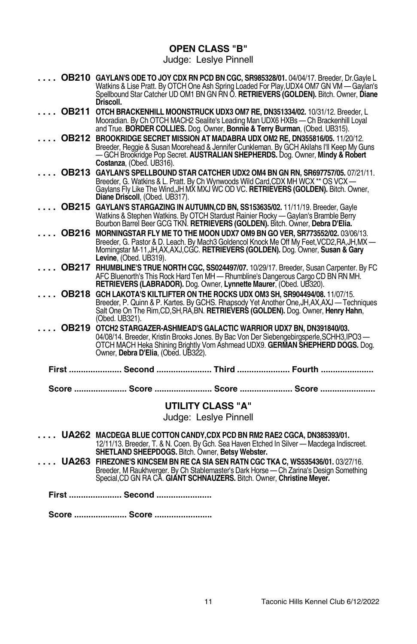### **OPEN CLASS "B"**

Judge: Leslye Pinnell

|       | OB210 GAYLAN'S ODE TO JOY CDX RN PCD BN CGC, SR985328/01. 04/04/17. Breeder, Dr. Gayle L<br>Watkins & Lise Pratt. By OTCH One Ash Spring Loaded For Play, UDX4 OM7 GN VM - Gaylan's<br>Spellbound Star Catcher UD OM1 BN GN RN O. RETRIEVERS (GOLDEN). Bitch. Owner, Diane<br>Driscoll.      |
|-------|----------------------------------------------------------------------------------------------------------------------------------------------------------------------------------------------------------------------------------------------------------------------------------------------|
|       | OB211 OTCH BRACKENHILL MOONSTRUCK UDX3 OM7 RE, DN351334/02. 10/31/12. Breeder, L<br>Mooradian. By Ch OTCH MACH2 Sealite's Leading Man UDX6 HXBs - Ch Brackenhill Loyal<br>and True. BORDER COLLIES. Dog. Owner, Bonnie & Terry Burman, (Obed. UB315).                                        |
|       | <b>OB212 BROOKRIDGE SECRET MISSION AT MADABRA UDX OM2 RE. DN355816/05. 11/20/12.</b><br>Breeder, Reggie & Susan Moorehead & Jennifer Cunkleman. By GCH Akilahs I'll Keep My Guns<br>-GCH Brookridge Pop Secret. AUSTRALIAN SHEPHERDS. Dog. Owner, Mindy & Robert<br>Costanza, (Obed. UB316). |
| OB213 | GAYLAN'S SPELLBOUND STAR CATCHER UDX2 OM4 BN GN RN, SR697757/05. 07/21/11.<br>Breeder, G. Watkins & L. Pratt. By Ch Wynwoods Wild Card, CDX MH WCX ** OS VCX -<br>Gaylans Fly Like The Wind, JH MX MXJ WC OD VC. RETRIEVERS (GOLDEN). Bitch. Owner,<br>Diane Driscoll, (Obed. UB317).        |
|       | OB215 GAYLAN'S STARGAZING IN AUTUMN, CD BN, SS153635/02. 11/11/19. Breeder, Gayle<br>Watkins & Stephen Watkins. By OTCH Stardust Rainier Rocky — Gaylan's Bramble Berry<br>Bourbon Barrel Beer GCG TKN. RETRIEVERS (GOLDEN). Bitch. Owner, Debra D'Elia.                                     |
| OB216 | MORNINGSTAR FLY ME TO THE MOON UDX7 OM9 BN GO VER, SR773552/02, 03/06/13.<br>Breeder, G. Pastor & D. Leach. By Mach3 Goldencol Knock Me Off My Feet, VCD2, RA, JH, MX -<br>Morningstar M-11, JH, AX, AXJ, CGC. RETRIEVERS (GOLDEN). Dog. Owner, Susan & Gary<br>Levine, (Obed. UB319).       |
|       | OB217 RHUMBLINE'S TRUE NORTH CGC, SS024497/07. 10/29/17. Breeder, Susan Carpenter. By FC<br>AFC Bluenorth's This Rock Hard Ten MH - Rhumbline's Dangerous Cargo CD BN RN MH.<br>RETRIEVERS (LABRADOR). Dog. Owner, Lynnette Maurer, (Obed. UB320).                                           |
|       | <b>OB218 GCH LAKOTA'S KILTLIFTER ON THE ROCKS UDX OM3 SH, SR904494/08, 11/07/15.</b><br>Breeder, P. Quinn & P. Kartes. By GCHS. Rhapsody Yet Another One, JH, AX, AXJ — Techniques<br>Salt One On The Rim, CD, SH, RA, BN. RETRIEVERS (GOLDEN). Dog. Owner, Henry Hahn,<br>(Obed. UB321).    |
|       | OB219 OTCH2 STARGAZER-ASHMEAD'S GALACTIC WARRIOR UDX7 BN, DN391840/03.<br>04/08/14. Breeder, Kristin Brooks Jones. By Bac Von Der Siebengebirgsperle, SCHH3, IPO3 -<br>OTCH MACH Heka Shining Brightly Vom Ashmead UDX9. GERMAN SHEPHERD DOGS. Dog.<br>Owner, Debra D'Elia, (Obed. UB322).   |
|       | First  Second  Third  Fourth                                                                                                                                                                                                                                                                 |
|       | Score  Score  Score  Score                                                                                                                                                                                                                                                                   |
|       | <b>UTILITY CLASS "A"</b><br>Judge: Lesive Pinnell                                                                                                                                                                                                                                            |
|       | UA262 MACDEGA BLUE COTTON CANDY, CDX PCD BN RM2 RAE2 CGCA, DN385393/01.<br>12/11/13. Breeder, T. & N. Coen. By Gch. Sea Haven Etched In Silver - Macdega Indiscreet.<br>SHETLAND SHEEPDOGS. Bitch. Owner, Betsy Webster.                                                                     |
|       | UA263 FIREZONE'S KINCSEM BN RE CA SIA SEN RATN CGC TKA C, WS535436/01. 03/27/16.<br>Breeder, M Raukhverger. By Ch Stablemaster's Dark Horse - Ch Zarina's Design Something<br>Special, CD GN RA CA. GIANT SCHNAUZERS. Bitch. Owner, Christine Meyer.                                         |
|       | First  Second                                                                                                                                                                                                                                                                                |

**Score ...................... Score ........................**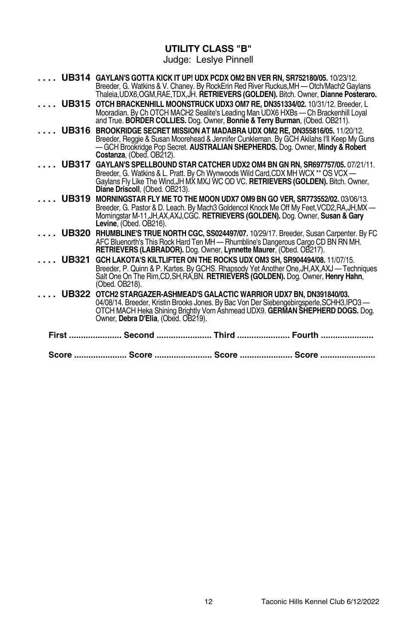# **UTILITY CLASS "B"**

Judge: Leslye Pinnell

|              | UB314 GAYLAN'S GOTTA KICK IT UP! UDX PCDX OM2 BN VER RN, SR752180/05. 10/23/12.<br>Breeder, G. Watkins & V. Chaney. By RockErin Red River Ruckus, MH - Otch/Mach2 Gaylans<br>Thaleia, UDX6, OGM, RAE, TDX, JH. RETRIEVERS (GOLDEN). Bitch. Owner, Dianne Posteraro.                    |  |
|--------------|----------------------------------------------------------------------------------------------------------------------------------------------------------------------------------------------------------------------------------------------------------------------------------------|--|
| <b>UB315</b> | OTCH BRACKENHILL MOONSTRUCK UDX3 OM7 RE, DN351334/02. 10/31/12. Breeder, L<br>Mooradian. By Ch OTCH MACH2 Sealite's Leading Man UDX6 HXBs — Ch Brackenhill Loyal<br>and True. <b>BORDER COLLIES.</b> Dog. Owner, <b>Bonnie &amp; Terry Burman</b> , (Obed. OB211).                     |  |
| <b>UB316</b> | BROOKRIDGE SECRET MISSION AT MADABRA UDX OM2 RE. DN355816/05. 11/20/12.<br>Breeder, Reggie & Susan Moorehead & Jennifer Cunkleman. By GCH Akilahs I'll Keep My Guns<br>-GCH Brookridge Pop Secret. AUSTRALIAN SHEPHERDS. Dog. Owner, Mindy & Robert<br>Costanza. (Obed. OB212).        |  |
| <b>UB317</b> | GAYLAN'S SPELLBOUND STAR CATCHER UDX2 OM4 BN GN RN, SR697757/05. 07/21/11.<br>Breeder, G. Watkins & L. Pratt. By Ch Wynwoods Wild Card, CDX MH WCX ** OS VCX -<br>Gaylans Fly Like The Wind, JH MX MXJ WC OD VC. RETRIEVERS (GOLDEN). Bitch. Owner,<br>Diane Driscoll, (Obed. OB213).  |  |
| <b>UB319</b> | MORNINGSTAR FLY ME TO THE MOON UDX7 OM9 BN GO VER, SR773552/02. 03/06/13.<br>Breeder, G. Pastor & D. Leach. By Mach3 Goldencol Knock Me Off My Feet, VCD2, RA, JH, MX -<br>Morningstar M-11, JH, AX, AXJ, CGC. RETRIEVERS (GOLDEN). Dog. Owner, Susan & Gary<br>Levine. (Obed. OB216). |  |
| <b>UB320</b> | RHUMBLINE'S TRUE NORTH CGC, SS024497/07. 10/29/17. Breeder, Susan Carpenter. By FC<br>AFC Bluenorth's This Rock Hard Ten MH - Rhumbline's Dangerous Cargo CD BN RN MH.<br>RETRIEVERS (LABRADOR). Dog. Owner, Lynnette Maurer, (Obed. OB217).                                           |  |
| <b>UB321</b> | GCH LAKOTA'S KILTLIFTER ON THE ROCKS UDX OM3 SH. SR904494/08. 11/07/15.<br>Breeder, P. Quinn & P. Kartes. By GCHS. Rhapsody Yet Another One, JH, AX, AXJ — Techniques<br>Salt One On The Rim, CD, SH, RA, BN. RETRIEVERS (GOLDEN). Dog. Owner, Henry Hahn,<br>(Obed. OB218).           |  |
| <b>UB322</b> | OTCH2 STARGAZER-ASHMEAD'S GALACTIC WARRIOR UDX7 BN, DN391840/03.<br>04/08/14. Breeder, Kristin Brooks Jones. By Bac Von Der Siebengebirgsperle, SCHH3, IPO3-<br>OTCH MACH Heka Shining Brightly Vom Ashmead UDX9. GERMAN SHEPHERD DOGS. Dog.<br>Owner, Debra D'Elia, (Obed. OB219).    |  |
|              | First  Second  Third  Fourth                                                                                                                                                                                                                                                           |  |
|              | Score  Score  Score  Score                                                                                                                                                                                                                                                             |  |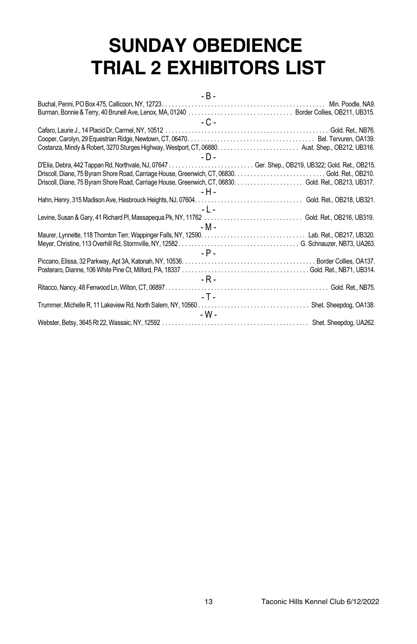# **SUNDAY OBEDIENCE TRIAL 2 EXHIBITORS LIST**

|  | ۰. |  |
|--|----|--|
|--|----|--|

| - C -                                                                                                 |  |
|-------------------------------------------------------------------------------------------------------|--|
|                                                                                                       |  |
|                                                                                                       |  |
|                                                                                                       |  |
| - D -                                                                                                 |  |
| D'Elia, Debra, 442 Tappan Rd, Northvale, NJ, 07647  Ger. Shep., OB219, UB322; Gold. Ret., OB215.      |  |
|                                                                                                       |  |
| Driscoll, Diane, 75 Byram Shore Road, Carriage House, Greenwich, CT, 06830. Gold. Ret., OB213, UB317. |  |
| - H -                                                                                                 |  |
|                                                                                                       |  |
| $-1$ $-$                                                                                              |  |
|                                                                                                       |  |
| - M -                                                                                                 |  |
|                                                                                                       |  |
|                                                                                                       |  |
| $-$ P $-$                                                                                             |  |
|                                                                                                       |  |
|                                                                                                       |  |
| - R -                                                                                                 |  |
|                                                                                                       |  |
| - T - L                                                                                               |  |
|                                                                                                       |  |
| - W -                                                                                                 |  |
|                                                                                                       |  |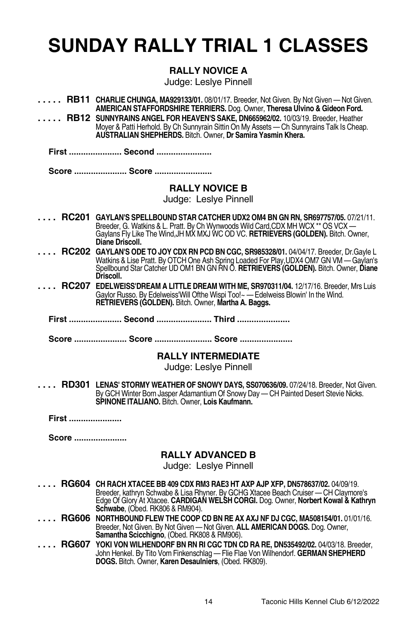# **SUNDAY RALLY TRIAL 1 CLASSES**

# **RALLY NOVICE A**

Judge: Leslye Pinnell

|       | <b>RB11 CHARLIE CHUNGA, MA929133/01.</b> 08/01/17. Breeder, Not Given. By Not Given — Not Given.<br>AMERICAN STAFFORDSHIRE TERRIERS. Dog. Owner, Theresa Ulvino & Gideon Ford.                                                                                                                                                                 |
|-------|------------------------------------------------------------------------------------------------------------------------------------------------------------------------------------------------------------------------------------------------------------------------------------------------------------------------------------------------|
|       | RB12 SUNNYRAINS ANGEL FOR HEAVEN'S SAKE, DN665962/02. 10/03/19. Breeder, Heather<br>Moyer & Patti Herhold. By Ch Sunnyrain Sittin On My Assets — Ch Sunnyrains Talk Is Cheap.<br><b>AUSTRALIAN SHEPHERDS.</b> Bitch. Owner, <b>Dr Samira Yasmin Khera.</b>                                                                                     |
|       | First  Second                                                                                                                                                                                                                                                                                                                                  |
|       | Score  Score                                                                                                                                                                                                                                                                                                                                   |
|       | <b>RALLY NOVICE B</b><br>Judge: Leslye Pinnell                                                                                                                                                                                                                                                                                                 |
|       | RC201 GAYLAN'S SPELLBOUND STAR CATCHER UDX2 OM4 BN GN RN, SR697757/05. 07/21/11.<br>Breeder, G. Watkins & L. Pratt. By Ch Wynwoods Wild Card, CDX MH WCX ** OS VCX-<br>Gaylans Fly Like The Wind, JH MX MXJ WC OD VC. RETRIEVERS (GOLDEN). Bitch. Owner,<br>Diane Driscoll.                                                                    |
|       | RC202 GAYLAN'S ODE TO JOY CDX RN PCD BN CGC, SR985328/01. 04/04/17. Breeder, Dr.Gayle L<br>Watkins & Lise Pratt. By OTCH One Ash Spring Loaded For Play, UDX4 OM7 GN VM — Gaylan's<br>Spellbound Star Catcher UD OM1 BN GN RN O. RETRIEVERS (GOLDEN). Bitch. Owner, Diane<br>Driscoll.                                                         |
|       | RC207 EDELWEISS'DREAM A LITTLE DREAM WITH ME, SR970311/04. 12/17/16. Breeder, Mrs Luis<br>Gaylor Russo. By Edelweiss' Will Ofthe Wispi Too! ~ - Edelweiss Blowin' In the Wind.<br>RETRIEVERS (GOLDEN). Bitch. Owner, Martha A. Baggs.                                                                                                          |
|       | First  Second  Third                                                                                                                                                                                                                                                                                                                           |
|       |                                                                                                                                                                                                                                                                                                                                                |
|       | Score  Score  Score                                                                                                                                                                                                                                                                                                                            |
|       | <b>RALLY INTERMEDIATE</b><br>Judge: Leslye Pinnell                                                                                                                                                                                                                                                                                             |
|       | RD301 LENAS' STORMY WEATHER OF SNOWY DAYS, SS070636/09. 07/24/18. Breeder, Not Given.<br>By GCH Winter Born Jasper Adamantium Of Snowy Day — CH Painted Desert Stevie Nicks.<br>SPINONE ITALIANO. Bitch. Owner, Lois Kaufmann.                                                                                                                 |
| First |                                                                                                                                                                                                                                                                                                                                                |
| Score |                                                                                                                                                                                                                                                                                                                                                |
|       | <b>RALLY ADVANCED B</b><br>Judge: Leslye Pinnell                                                                                                                                                                                                                                                                                               |
|       | RG604 CH RACH XTACEE BB 409 CDX RM3 RAE3 HT AXP AJP XFP, DN578637/02. 04/09/19.<br>Breeder, kathryn Schwabe & Lisa Rhyner. By GCHG Xtacee Beach Cruiser - CH Claymore's<br>Edge Of Glory At Xtacee. CARDIGAN WELSH CORGI. Dog. Owner, Norbert Kowal & Kathryn                                                                                  |
|       | <b>Schwabe, (Obed. RK806 &amp; RM904).</b><br>RG606 NORTHBOUND FLEW THE COOP CD BN RE AX AXJ NF DJ CGC, MA508154/01.01/01/16.<br>Breeder, Not Given. By Not Given - Not Given. ALL AMERICAN DOGS. Dog. Owner,<br>Samantha Scicchigno, (Obed. RK808 & RM906).<br>YOKI VON WILHENDORF BN RN RI CGC TDN CD RA RE, DN535492/02. 04/03/18. Breeder, |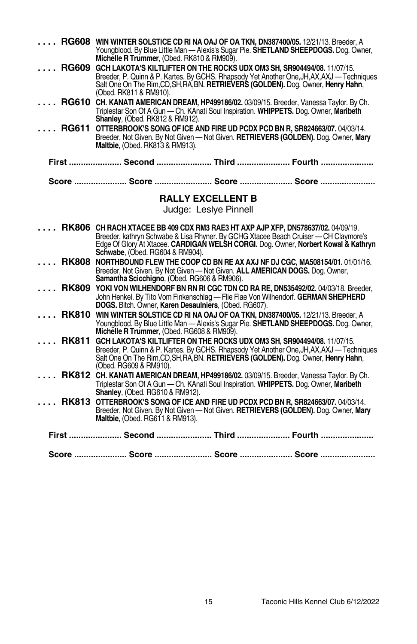|              | RG608 WIN WINTER SOLSTICE CD RI NA OAJ OF OA TKN, DN387400/05. 12/21/13. Breeder, A<br>Youngblood. By Blue Little Man - Alexis's Sugar Pie. SHETLAND SHEEPDOGS. Dog. Owner.<br>Michelle R Trummer, (Obed. RK810 & RM909).                                                                        |
|--------------|--------------------------------------------------------------------------------------------------------------------------------------------------------------------------------------------------------------------------------------------------------------------------------------------------|
|              | RG609 GCH LAKOTA'S KILTLIFTER ON THE ROCKS UDX OM3 SH, SR904494/08. 11/07/15.<br>Breeder, P. Quinn & P. Kartes. By GCHS. Rhapsody Yet Another One, JH, AX, AXJ — Techniques<br>Salt One On The Rim, CD, SH, RA, BN. RETRIEVERS (GOLDEN). Dog. Owner, Henry Hahn,<br>(Obed. RK811 & RM910).       |
|              | RG610 CH. KANATI AMERICAN DREAM, HP499186/02. 03/09/15. Breeder, Vanessa Taylor. By Ch.<br>Triplestar Son Of A Gun - Ch. KAnati Soul Inspiration. WHIPPETS. Dog. Owner, Maribeth<br><b>Shanley, (Obed. RK812 &amp; RM912).</b>                                                                   |
|              | RG611 OTTERBROOK'S SONG OF ICE AND FIRE UD PCDX PCD BN R, SR824663/07. 04/03/14.<br>Breeder, Not Given. By Not Given - Not Given. RETRIEVERS (GOLDEN). Dog. Owner, Mary<br>Maltbie, (Obed. RK813 & RM913).                                                                                       |
|              | First  Second  Third  Fourth                                                                                                                                                                                                                                                                     |
|              | Score  Score  Score  Score                                                                                                                                                                                                                                                                       |
|              | <b>RALLY EXCELLENT B</b><br>Judge: Lesive Pinnell                                                                                                                                                                                                                                                |
|              | RK806 CH RACH XTACEE BB 409 CDX RM3 RAE3 HT AXP AJP XFP, DN578637/02. 04/09/19.<br>Breeder, kathryn Schwabe & Lisa Rhyner. By GCHG Xtacee Beach Cruiser - CH Claymore's<br>Edge Of Glory At Xtacee. CARDIGAN WELSH CORGI. Dog. Owner, Norbert Kowal & Kathryn<br>Schwabe, (Obed. RG604 & RM904). |
|              | RK808 NORTHBOUND FLEW THE COOP CD BN RE AX AXJ NF DJ CGC, MA508154/01.01/01/16.<br>Breeder, Not Given. By Not Given - Not Given. ALL AMERICAN DOGS. Dog. Owner,<br>Samantha Scicchigno, (Obed. RG606 & RM906).                                                                                   |
|              | RK809 YOKI VON WILHENDORF BN RN RI CGC TDN CD RA RE, DN535492/02. 04/03/18. Breeder,<br>John Henkel. By Tito Vom Finkenschlag - Flie Flae Von Wilhendorf. GERMAN SHEPHERD DOGS. Bitch. Owner, Karen Desaulniers, (Obed. RG607).                                                                  |
| <b>RK810</b> | WIN WINTER SOLSTICE CD RI NA OAJ OF OA TKN, DN387400/05. 12/21/13. Breeder, A<br>Youngblood. By Blue Little Man - Alexis's Sugar Pie. SHETLAND SHEEPDOGS. Dog. Owner.<br>Michelle R Trummer, (Obed. RG608 & RM909).                                                                              |
|              | RK811 GCH LAKOTA'S KILTLIFTER ON THE ROCKS UDX OM3 SH, SR904494/08. 11/07/15.<br>Breeder, P. Quinn & P. Kartes. By GCHS. Rhapsody Yet Another One, JH, AX, AXJ — Techniques<br>Salt One On The Rim, CD, SH, RA, BN. RETRIEVERS (GOLDEN). Dog. Owner, Henry Hahn,<br>(Obed. RG609 & RM910).       |
|              | RK812 CH. KANATI AMERICAN DREAM, HP499186/02. 03/09/15. Breeder, Vanessa Taylor. By Ch.<br>Triplestar Son Of A Gun - Ch. KAnati Soul Inspiration. WHIPPETS, Dog. Owner, Maribeth<br>Shanley, (Obed. RG610 & RM912).                                                                              |
|              | RK813 OTTERBROOK'S SONG OF ICE AND FIRE UD PCDX PCD BN R, SR824663/07. 04/03/14.<br>Breeder, Not Given. By Not Given - Not Given. RETRIEVERS (GOLDEN). Dog. Owner, Mary<br>Maltbie, (Obed. RG611 & RM913).                                                                                       |
|              | First  Second  Third  Fourth                                                                                                                                                                                                                                                                     |
|              | Score  Score  Score  Score                                                                                                                                                                                                                                                                       |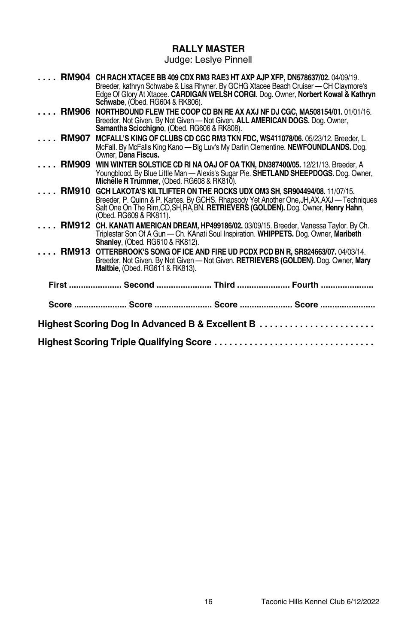### **RALLY MASTER**

Judge: Leslye Pinnell

|                                                 | RM904 CH RACH XTACEE BB 409 CDX RM3 RAE3 HT AXP AJP XFP, DN578637/02. 04/09/19.<br>Breeder, kathryn Schwabe & Lisa Rhyner. By GCHG Xtacee Beach Cruiser - CH Claymore's<br>Edge Of Glory At Xtacee. CARDIGAN WELSH CORGI. Dog. Owner, Norbert Kowal & Kathryn<br><b>Schwabe, (Obed. RG604 &amp; RK806).</b> |  |
|-------------------------------------------------|-------------------------------------------------------------------------------------------------------------------------------------------------------------------------------------------------------------------------------------------------------------------------------------------------------------|--|
| <b>RM906</b>                                    | NORTHBOUND FLEW THE COOP CD BN RE AX AXJ NF DJ CGC, MA508154/01. 01/01/16.<br>Breeder, Not Given. By Not Given - Not Given. ALL AMERICAN DOGS. Dog. Owner,<br>Samantha Scicchigno, (Obed. RG606 & RK808).                                                                                                   |  |
| <b>RM907</b>                                    | MCFALL'S KING OF CLUBS CD CGC RM3 TKN FDC, WS411078/06. 05/23/12. Breeder, L.<br>McFall. By McFalls King Kano - Big Luv's My Darlin Clementine. NEWFOUNDLANDS. Dog.<br>Owner. Dena Fiscus.                                                                                                                  |  |
| <b>RM909</b>                                    | WIN WINTER SOLSTICE CD RI NA OAJ OF OA TKN, DN387400/05. 12/21/13. Breeder, A<br>Youngblood. By Blue Little Man - Alexis's Sugar Pie. SHETLAND SHEEPDOGS. Dog. Owner.<br>Michelle R Trummer, (Obed. RG608 & RK810).                                                                                         |  |
|                                                 | RM910 GCH LAKOTA'S KILTLIFTER ON THE ROCKS UDX OM3 SH, SR904494/08. 11/07/15.<br>Breeder, P. Quinn & P. Kartes. By GCHS. Rhapsody Yet Another One, JH, AX, AXJ — Techniques<br>Salt One On The Rim, CD, SH, RA, BN. RETRIEVERS (GOLDEN). Dog. Owner, Henry Hahn,<br>(Obed. RG609 & RK811).                  |  |
|                                                 | RM912 CH. KANATI AMERICAN DREAM, HP499186/02. 03/09/15. Breeder, Vanessa Taylor. By Ch.<br>Triplestar Son Of A Gun - Ch. KAnati Soul Inspiration. WHIPPETS. Dog. Owner, Maribeth<br><b>Shanley, (Obed. RG610 &amp; RK812).</b>                                                                              |  |
|                                                 | RM913 OTTERBROOK'S SONG OF ICE AND FIRE UD PCDX PCD BN R, SR824663/07. 04/03/14.<br>Breeder, Not Given. By Not Given - Not Given. RETRIEVERS (GOLDEN). Dog. Owner, Mary<br>Maltbie, (Obed. RG611 & RK813).                                                                                                  |  |
|                                                 | First  Second  Third  Fourth                                                                                                                                                                                                                                                                                |  |
|                                                 | Score  Score  Score  Score                                                                                                                                                                                                                                                                                  |  |
| Highest Scoring Dog In Advanced B & Excellent B |                                                                                                                                                                                                                                                                                                             |  |
|                                                 | Highest Scoring Triple Qualifying Score                                                                                                                                                                                                                                                                     |  |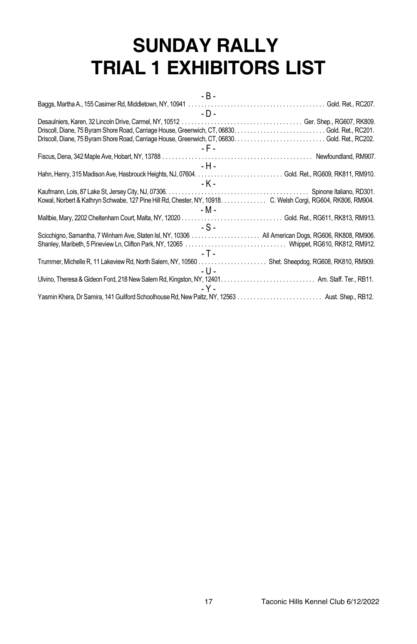# **SUNDAY RALLY TRIAL 1 EXHIBITORS LIST**

| - B -                                                                                                                                                            |
|------------------------------------------------------------------------------------------------------------------------------------------------------------------|
| Baggs, Martha A., 155 Casimer Rd, Middletown, NY, 10941 $\ldots \ldots \ldots \ldots \ldots \ldots \ldots \ldots \ldots \ldots \ldots \ldots$ Gold. Ret., RC207. |
| $-D -$                                                                                                                                                           |
|                                                                                                                                                                  |
|                                                                                                                                                                  |
|                                                                                                                                                                  |
| - F -                                                                                                                                                            |
|                                                                                                                                                                  |
| - H -                                                                                                                                                            |
|                                                                                                                                                                  |
| - K -                                                                                                                                                            |
|                                                                                                                                                                  |
| Kowal, Norbert & Kathryn Schwabe, 127 Pine Hill Rd, Chester, NY, 10918. C. Welsh Corgi, RG604, RK806, RM904.                                                     |
| - M -                                                                                                                                                            |
|                                                                                                                                                                  |
| $-S -$                                                                                                                                                           |
|                                                                                                                                                                  |
|                                                                                                                                                                  |
| - T -                                                                                                                                                            |
| Trummer, Michelle R, 11 Lakeview Rd, North Salem, NY, 10560 Shet. Sheepdog, RG608, RK810, RM909.                                                                 |
| - U -                                                                                                                                                            |
|                                                                                                                                                                  |
| - Y -                                                                                                                                                            |
|                                                                                                                                                                  |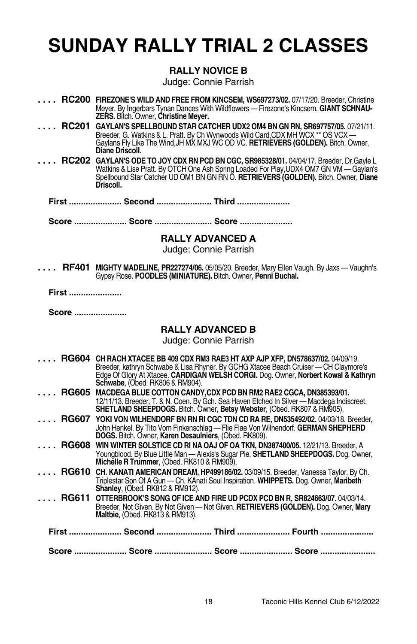# **SUNDAY RALLY TRIAL 2 CLASSES**

### **RALLY NOVICE B**

Judge: Connie Parrish

- **. . . . RC200 FIREZONE'S WILD AND FREE FROM KINCSEM, WS697273/02.** 07/17/20. Breeder, Christine Meyer. By Ingerbars Tynan Dances With Wildflowers — Firezone's Kincsem. **GIANT SCHNAU-ZERS.** Bitch. Owner, **Christine Meyer.**
- **. . . . RC201 GAYLAN'S SPELLBOUND STAR CATCHER UDX2 OM4 BN GN RN, SR697757/05.** 07/21/11. Breeder, G. Watkins & L. Pratt. By Ch Wynwoods Wild Card,CDX MH WCX \*\* OS VCX — Gaylans Fly Like The Wind,JHMX MXJ WC OD VC. **RETRIEVERS (GOLDEN).** Bitch. Owner, **Diane Driscoll.**
- **. . . . RC202 GAYLAN'S ODE TO JOY CDX RN PCD BN CGC, SR985328/01.** 04/04/17. Breeder, Dr.Gayle L Watkins & Lise Pratt. By OTCH One Ash Spring Loaded For Play,UDX4 OM7 GN VM — Gaylan's Spellbound Star Catcher UD OM1 BN GN RN O. **RETRIEVERS (GOLDEN).** Bitch. Owner, **Diane Driscoll.**
	- **First ...................... Second ....................... Third ......................**

**Score ...................... Score ........................ Score ......................**

### **RALLY ADVANCED A**

Judge: Connie Parrish

**. . . . RF401 MIGHTY MADELINE, PR227274/06.** 05/05/20. Breeder, Mary Ellen Vaugh. By Jaxs — Vaughn's Gypsy Rose. **POODLES (MINIATURE).** Bitch. Owner, **Penni Buchal.**

**First ......................**

**Score ......................**

### **RALLY ADVANCED B**

| <b>RG604</b> | <b>Schwabe</b> , (Obed. RK806 & RM904).                                 | <b>CH RACH XTACEE BB 409 CDX RM3 RAE3 HT AXP AJP XFP, DN578637/02.</b> 04/09/19.<br>Breeder, kathryn Schwabe & Lisa Rhyner. By GCHG Xtacee Beach Cruiser - CH Claymore's<br>Edge Of Glory At Xtacee. CARDIGAN WELSH CORGI. Dog. Owner, Norbert Kowal & Kathryn |  |
|--------------|-------------------------------------------------------------------------|----------------------------------------------------------------------------------------------------------------------------------------------------------------------------------------------------------------------------------------------------------------|--|
|              | RG605 MACDEGA BLUE COTTON CANDY, CDX PCD BN RM2 RAE2 CGCA, DN385393/01. | 12/11/13. Breeder, T. & N. Coen. By Gch. Sea Haven Etched In Silver - Macdega Indiscreet.<br>SHETLAND SHEEPDOGS. Bitch. Owner, Betsy Webster, (Obed. RK807 & RM905).                                                                                           |  |
|              | DOGS. Bitch. Owner, Karen Desaulniers, (Obed. RK809).                   | RG607 YOKI VON WILHENDORF BN RN RI CGC TDN CD RA RE, DN535492/02. 04/03/18. Breeder,<br>John Henkel. By Tito Vom Finkenschlag - Flie Flae Von Wilhendorf. GERMAN SHEPHERD                                                                                      |  |
| <b>RG608</b> | Michelle R Trummer, (Obed. RK810 & RM909).                              | WIN WINTER SOLSTICE CD RI NA OAJ OF OA TKN, DN387400/05. 12/21/13. Breeder, A<br>Youngblood. By Blue Little Man - Alexis's Sugar Pie. SHETLAND SHEEPDOGS. Dog. Owner,                                                                                          |  |
| <b>RG610</b> | Shanley, (Obed. RK812 & RM912).                                         | <b>CH. KANATI AMERICAN DREAM, HP499186/02.</b> 03/09/15. Breeder, Vanessa Taylor. By Ch.<br>Triplestar Son Of A Gun - Ch. KAnati Soul Inspiration. WHIPPETS. Dog. Owner, Maribeth                                                                              |  |
| <b>RG611</b> | <b>Maltbie.</b> (Obed. RK813 & RM913).                                  | OTTERBROOK'S SONG OF ICE AND FIRE UD PCDX PCD BN R, SR824663/07. 04/03/14.<br>Breeder, Not Given. By Not Given - Not Given. RETRIEVERS (GOLDEN). Dog. Owner, Mary                                                                                              |  |
|              |                                                                         | First …………………… Second …………………… Third …………………… Fourth ……………………                                                                                                                                                                                                  |  |
|              |                                                                         | Score …………………… Score ……………………… Score …………………… Score ……………………                                                                                                                                                                                                   |  |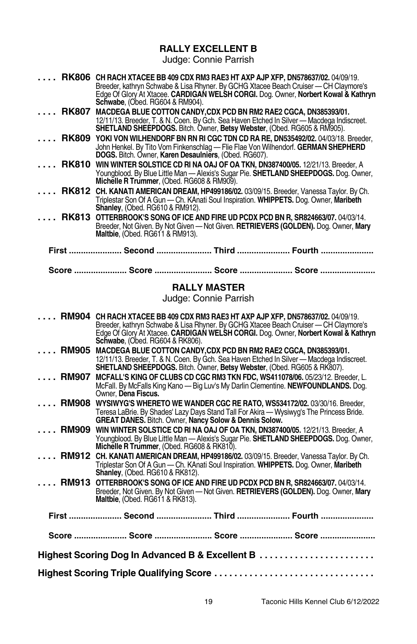# **RALLY EXCELLENT B**

|                                              | RK806 CH RACH XTACEE BB 409 CDX RM3 RAE3 HT AXP AJP XFP, DN578637/02. 04/09/19.<br>Breeder, kathryn Schwabe & Lisa Rhyner. By GCHG Xtacee Beach Cruiser - CH Claymore's<br>Edge Of Glory At Xtacee. CARDIGAN WELSH CORGI. Dog. Owner, Norbert Kowal & Kathryn<br><b>Schwabe, (Obed. RG604 &amp; RM904).</b> |  |
|----------------------------------------------|-------------------------------------------------------------------------------------------------------------------------------------------------------------------------------------------------------------------------------------------------------------------------------------------------------------|--|
| <b>RK807</b>                                 | MACDEGA BLUE COTTON CANDY, CDX PCD BN RM2 RAE2 CGCA, DN385393/01.<br>12/11/13. Breeder, T. & N. Coen. By Gch. Sea Haven Etched In Silver - Macdega Indiscreet.<br>SHETLAND SHEEPDOGS. Bitch. Owner, Betsy Webster, (Obed. RG605 & RM905).                                                                   |  |
| <b>RK809</b>                                 | YOKI VON WILHENDORF BN RN RI CGC TDN CD RA RE, DN535492/02, 04/03/18, Breeder,<br>John Henkel. By Tito Vom Finkenschlag - Flie Flae Von Wilhendorf. GERMAN SHEPHERD<br>DOGS. Bitch. Owner, Karen Desaulniers, (Obed. RG607).                                                                                |  |
| <b>RK810</b>                                 | WIN WINTER SOLSTICE CD RI NA OAJ OF OA TKN, DN387400/05. 12/21/13. Breeder, A<br>Youngblood. By Blue Little Man — Alexis's Sugar Pie. <b>SHETLAND SHEEPDOGS.</b> Dog. Owner,<br>Michelle R Trummer, (Obed. RG608 & RM909).                                                                                  |  |
| <b>RK812</b>                                 | CH. KANATI AMERICAN DREAM, HP499186/02. 03/09/15. Breeder, Vanessa Taylor. By Ch.<br>Triplestar Son Of A Gun - Ch. KAnati Soul Inspiration. WHIPPETS. Dog. Owner, Maribeth<br>Shanley, (Obed. RG610 & RM912).                                                                                               |  |
|                                              | RK813 OTTERBROOK'S SONG OF ICE AND FIRE UD PCDX PCD BN R, SR824663/07. 04/03/14.<br>Breeder, Not Given. By Not Given - Not Given. RETRIEVERS (GOLDEN). Dog. Owner, Mary<br>Maltbie, (Obed. RG611 & RM913).                                                                                                  |  |
|                                              | First …………………… Second …………………… Third …………………… Fourth ……………………                                                                                                                                                                                                                                               |  |
|                                              | Score ………………… Score …………………… Score ………………… Score …………………                                                                                                                                                                                                                                                    |  |
| <b>RALLY MASTER</b><br>Judge: Connie Parrish |                                                                                                                                                                                                                                                                                                             |  |
|                                              | RM904 CH RACH XTACEE BB 409 CDX RM3 RAE3 HT AXP AJP XFP, DN578637/02. 04/09/19.<br>Breeder, kathryn Schwabe & Lisa Rhyner. By GCHG Xtacee Beach Cruiser — CH Claymore's<br>Edge Of Glory At Xtacee. CARDIGAN WELSH CORGI. Dog. Owner, Norbert Kowal & Kathryn<br><b>Schwabe</b> , (Obed. RG604 & RK806).    |  |
|                                              | RM905 MACDEGA BLUE COTTON CANDY, CDX PCD BN RM2 RAE2 CGCA, DN385393/01.<br>12/11/13. Breeder, T. & N. Coen. By Gch. Sea Haven Etched In Silver - Macdega Indiscreet.<br><b>SHETLAND SHEEPDOGS.</b> Bitch. Owner, <b>Betsy Webster</b> , (Obed. RG605 & RK807).                                              |  |
| <b>RM907</b>                                 | MCFALL'S KING OF CLUBS CD CGC RM3 TKN FDC, WS411078/06. 05/23/12. Breeder, L.<br>McFall. By McFalls King Kano - Big Luv's My Darlin Clementine. NEWFOUNDLANDS. Dog.<br>Owner, Dena Fiscus.                                                                                                                  |  |
|                                              | RM908 WYSIWYG'S WHERETO WE WANDER CGC RE RATO, WS534172/02. 03/30/16. Breeder,<br>Teresa LaBrie. By Shades' Lazy Days Stand Tall For Akira - Wysiwyg's The Princess Bride.<br><b>GREAT DANES.</b> Bitch. Owner, Nancy Solow & Dennis Solow.                                                                 |  |
| <b>RM909</b>                                 | WIN WINTER SOLSTICE CD RI NA OAJ OF OA TKN, DN387400/05. 12/21/13. Breeder, A<br>Youngblood. By Blue Little Man - Alexis's Sugar Pie. SHETLAND SHEEPDOGS. Dog. Owner,<br>Michelle R Trummer, (Obed. RG608 & RK810).                                                                                         |  |
|                                              | <b>RM912 CH. KANATI AMERICAN DREAM, HP499186/02.</b> 03/09/15. Breeder, Vanessa Taylor. By Ch.<br>Triplestar Son Of A Gun - Ch. KAnati Soul Inspiration. WHIPPETS. Dog. Owner, Maribeth<br><b>Shanley, (Obed. RG610 &amp; RK812).</b>                                                                       |  |
|                                              | <b>RM913 OTTERBROOK'S SONG OF ICE AND FIRE UD PCDX PCD BN R, SR824663/07. 04/03/14.</b><br>Breeder, Not Given. By Not Given - Not Given. RETRIEVERS (GOLDEN). Dog. Owner, Mary<br>Maltbie, (Obed. RG611 & RK813).                                                                                           |  |
|                                              | First …………………… Second …………………… Third …………………… Fourth ……………………                                                                                                                                                                                                                                               |  |
|                                              | Score  Score  Score  Score                                                                                                                                                                                                                                                                                  |  |
|                                              |                                                                                                                                                                                                                                                                                                             |  |
| Highest Scoring Triple Qualifying Score      |                                                                                                                                                                                                                                                                                                             |  |